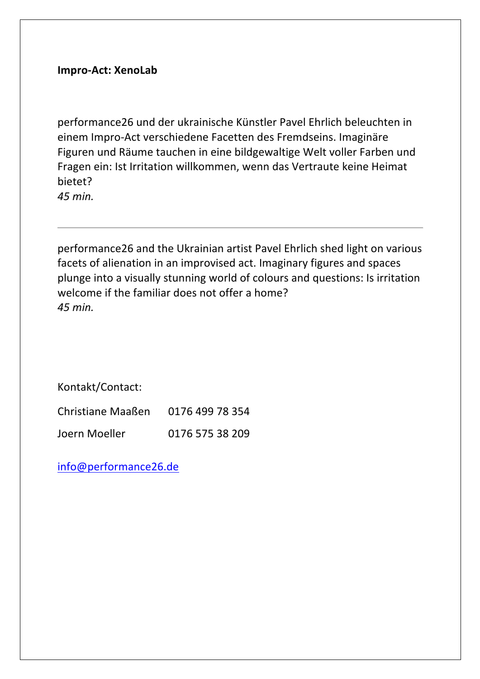## **Impro-Act: XenoLab**

performance26 und der ukrainische Künstler Pavel Ehrlich beleuchten in einem Impro-Act verschiedene Facetten des Fremdseins. Imaginäre Figuren und Räume tauchen in eine bildgewaltige Welt voller Farben und Fragen ein: Ist Irritation willkommen, wenn das Vertraute keine Heimat bietet? *45 min.*

performance26 and the Ukrainian artist Pavel Ehrlich shed light on various facets of alienation in an improvised act. Imaginary figures and spaces plunge into a visually stunning world of colours and questions: Is irritation welcome if the familiar does not offer a home? *45 min.* 

Kontakt/Contact:

| <b>Christiane Maaßen</b> | 0176 499 78 354 |
|--------------------------|-----------------|
| Joern Moeller            | 0176 575 38 209 |

info@performance26.de